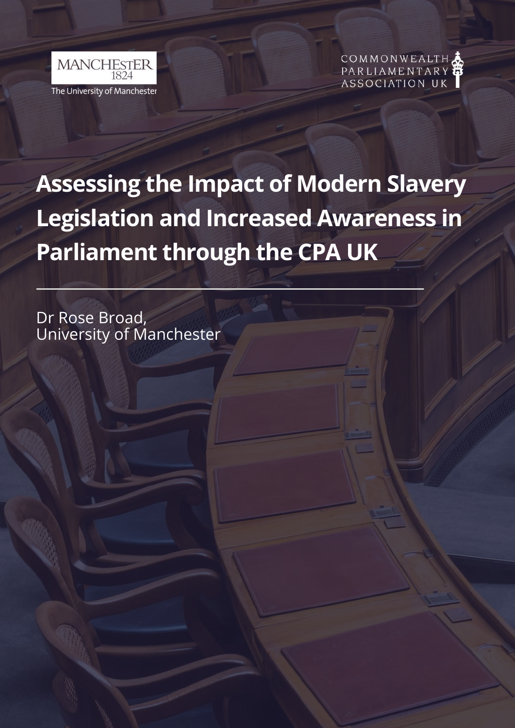



# **Assessing the Impact of Modern Slavery Legislation and Increased Awareness in Parliament through the CPA UK**

Dr Rose Broad, University of Manchester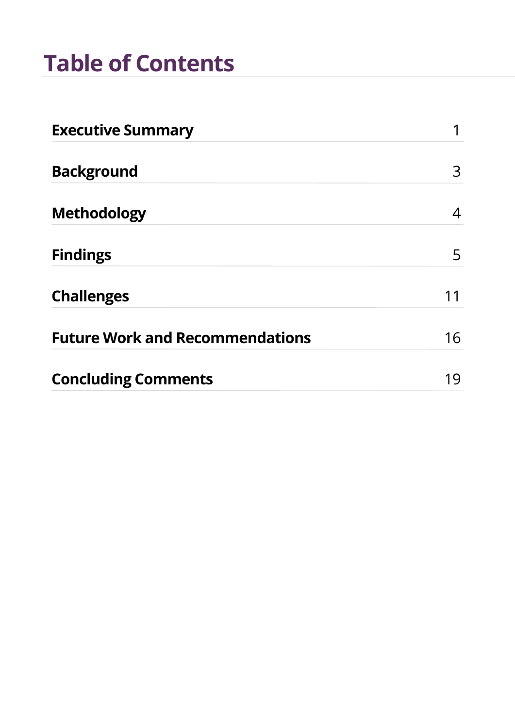## **Table of Contents**

| <b>Executive Summary</b>               |    |
|----------------------------------------|----|
| <b>Background</b>                      | 3  |
| <b>Methodology</b>                     | 4  |
| <b>Findings</b>                        | 5  |
| <b>Challenges</b>                      |    |
| <b>Future Work and Recommendations</b> | 16 |
| <b>Concluding Comments</b>             | 19 |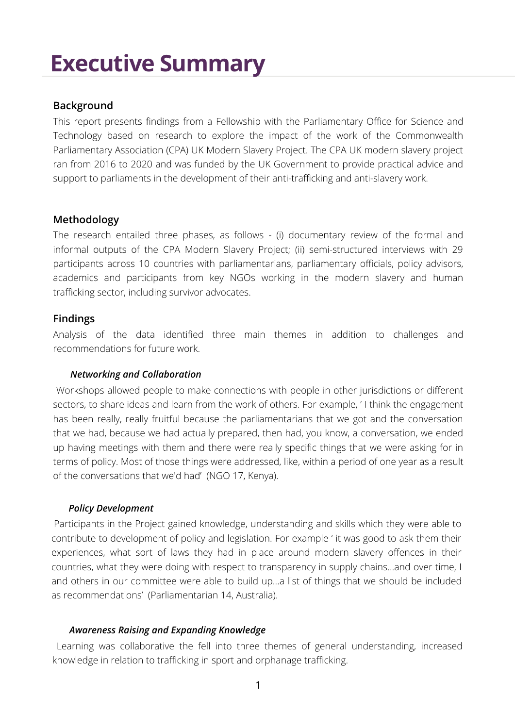### **Executive Summary**

#### **Background**

This report presents findings from a Fellowship with the Parliamentary Office for Science and Technology based on research to explore the impact of the work of the Commonwealth Parliamentary Association (CPA) UK Modern Slavery Project. The CPA UK [modern](https://www.uk-cpa.org/what-we-do/modern-slavery/) slavery project ran from 2016 to 2020 and was funded by the UK Government to provide practical advice and support to parliaments in the development of their anti-trafficking and anti-slavery work.

#### **Methodology**

The research entailed three phases, as follows - (i) documentary review of the formal and informal outputs of the CPA Modern Slavery Project; (ii) semi-structured interviews with 29 participants across 10 countries with parliamentarians, parliamentary officials, policy advisors, academics and participants from key NGOs working in the modern slavery and human trafficking sector, including survivor advocates.

#### **Findings**

Analysis of the data identified three main themes in addition to challenges and recommendations for future work.

#### *Networking and Collaboration*

Workshops allowed people to make connections with people in other jurisdictions or different sectors, to share ideas and learn from the work of others. For example, ' I think the engagement has been really, really fruitful because the parliamentarians that we got and the conversation that we had, because we had actually prepared, then had, you know, a conversation, we ended up having meetings with them and there were really specific things that we were asking for in terms of policy. Most of those things were addressed, like, within a period of one year as a result of the conversations that we'd had' (NGO 17, Kenya).

#### *Policy Development*

Participants in the Project gained knowledge, understanding and skills which they were able to contribute to development of policy and legislation. For example ' it was good to ask them their experiences, what sort of laws they had in place around modern slavery offences in their countries, what they were doing with respect to transparency in supply chains…and over time, I and others in our committee were able to build up…a list of things that we should be included as recommendations' (Parliamentarian 14, Australia).

#### *Awareness Raising and Expanding Knowledge*

Learning was collaborative the fell into three themes of general understanding, increased knowledge in relation to trafficking in sport and orphanage trafficking.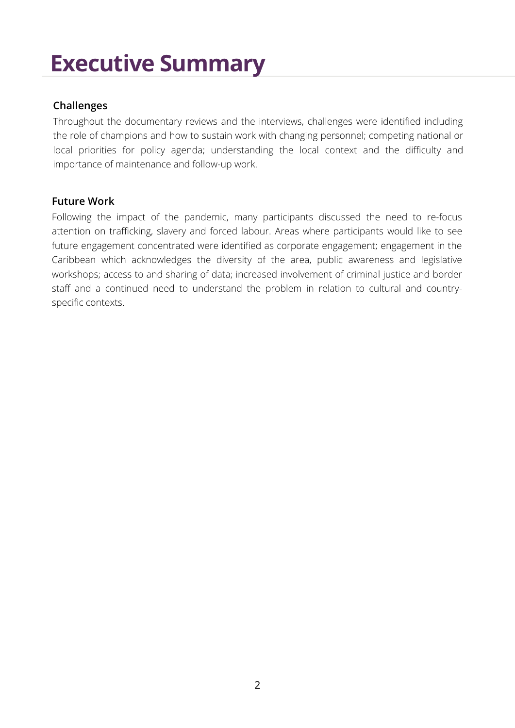### **Executive Summary**

#### **Challenges**

Throughout the documentary reviews and the interviews, challenges were identified including the role of champions and how to sustain work with changing personnel; competing national or local priorities for policy agenda; understanding the local context and the difficulty and importance of maintenance and follow-up work.

#### **Future Work**

Following the impact of the pandemic, many participants discussed the need to re-focus attention on trafficking, slavery and forced labour. Areas where participants would like to see future engagement concentrated were identified as corporate engagement; engagement in the Caribbean which acknowledges the diversity of the area, public awareness and legislative workshops; access to and sharing of data; increased involvement of criminal justice and border staff and a continued need to understand the problem in relation to cultural and countryspecific contexts.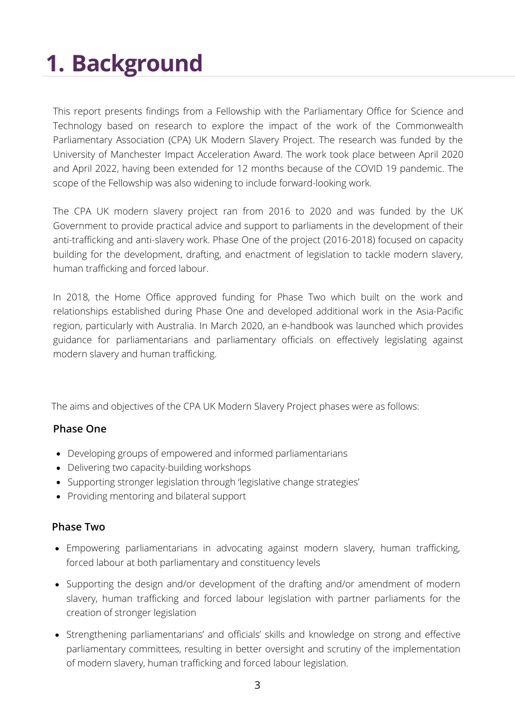# **1. Background**

This report presents findings from a Fellowship with the Parliamentary Office for Science and Technology based on research to explore the impact of the work of the Commonwealth Parliamentary Association (CPA) UK Modern Slavery Project. The research was funded by the University of Manchester Impact Acceleration Award. The work took place between April 2020 and April 2022, having been extended for 12 months because of the COVID 19 pandemic. The scope of the Fellowship was also widening to include forward-looking work.

The CPA UK [modern](https://www.uk-cpa.org/what-we-do/modern-slavery/) slavery project ran from 2016 to 2020 and was funded by the UK Government to provide practical advice and support to parliaments in the development of their anti-trafficking and anti-slavery work. Phase One of the project (2016-2018) focused on capacity building for the development, drafting, and enactment of legislation to tackle modern slavery, human trafficking and forced labour.

In 2018, the Home Office approved funding for Phase Two which built on the work and relationships established during Phase One and developed additional work in the Asia-Pacific region, particularly with Australia. In March 2020, an [e-handbook](https://www.uk-cpa.org/what-we-do/modern-slavery/e-handbook-legislating-against-modern-slavery-human-trafficking-forced-labour) was launched which provides guidance for parliamentarians and parliamentary officials on effectively legislating against modern slavery and human trafficking.

The aims and objectives of the CPA UK Modern Slavery Project phases were as follows:

#### **Phase One**

- Developing groups of empowered and informed parliamentarians
- Delivering two capacity-building workshops
- Supporting stronger legislation through 'legislative change strategies'
- Providing mentoring and bilateral support

#### **Phase Two**

- Empowering [parliamentarians](https://www.uk-cpa.org/what-we-do/modern-slavery/e-handbook-legislating-against-modern-slavery-human-trafficking-forced-labour) in advocating against modern slavery, human trafficking, forced labour at both parliamentary and constituency levels
- Supporting the design and/or [development](https://www.uk-cpa.org/what-we-do/modern-slavery/e-handbook-legislating-against-modern-slavery-human-trafficking-forced-labour) of the drafting and/or amendment of modern slavery, human trafficking and forced labour legislation with partner parliaments for the creation of stronger legislation
- Strengthening [parliamentarians'](https://www.uk-cpa.org/what-we-do/modern-slavery/e-handbook-legislating-against-modern-slavery-human-trafficking-forced-labour) and officials' skills and knowledge on strong and effective parliamentary committees, resulting in better oversight and scrutiny of the implementation of modern slavery, human trafficking and forced labour legislation.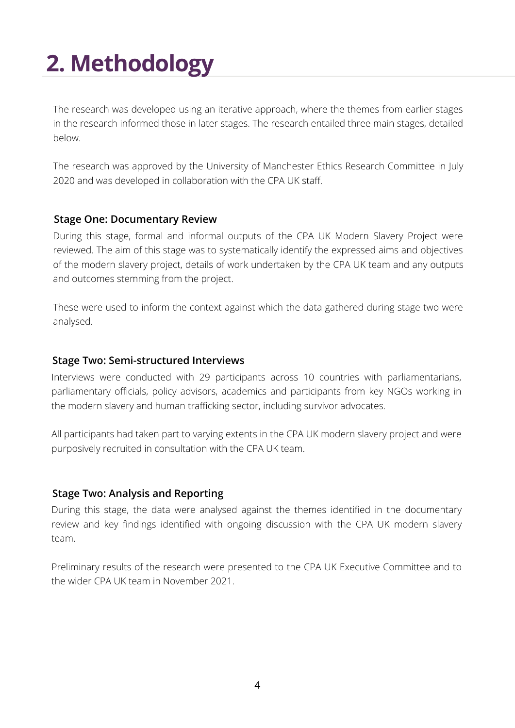# **2. Methodology**

The research was developed using an iterative approach, where the themes from earlier stages in the research informed those in later stages. The research entailed three main stages, detailed below.

The research was approved by the University of Manchester Ethics Research Committee in July 2020 and was developed in collaboration with the CPA UK staff.

#### **Stage One: Documentary Review**

During this stage, formal and informal outputs of the CPA UK Modern Slavery Project were reviewed. The aim of this stage was to systematically identify the expressed aims and objectives of the modern slavery project, details of work undertaken by the CPA UK team and any outputs and outcomes stemming from the project.

These were used to inform the context against which the data gathered during stage two were analysed.

#### **Stage Two: Semi-structured Interviews**

Interviews were conducted with 29 participants across 10 countries with parliamentarians, parliamentary officials, policy advisors, academics and participants from key NGOs working in the modern slavery and human trafficking sector, including survivor advocates.

All participants had taken part to varying extents in the CPA UK modern slavery project and were purposively recruited in consultation with the CPA UK team.

#### **Stage Two: Analysis and Reporting**

During this stage, the data were analysed against the themes identified in the documentary review and key findings identified with ongoing discussion with the CPA UK modern slavery team.

Preliminary results of the research were presented to the CPA UK Executive Committee and to the wider CPA UK team in November 2021.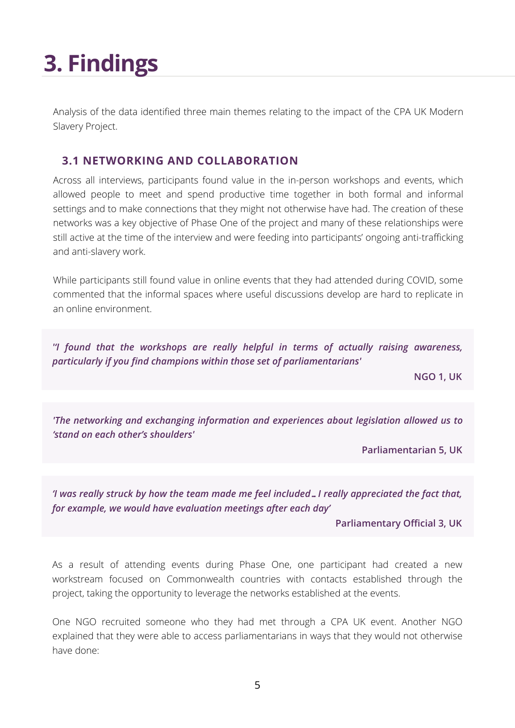Analysis of the data identified three main themes relating to the impact of the CPA UK Modern Slavery Project.

### **3.1 NETWORKING AND COLLABORATION**

Across all interviews, participants found value in the in-person workshops and events, which allowed people to meet and spend productive time together in both formal and informal settings and to make connections that they might not otherwise have had. The creation of these networks was a key objective of Phase One of the project and many of these relationships were still active at the time of the interview and were feeding into participants' ongoing anti-trafficking and anti-slavery work.

While participants still found value in online events that they had attended during COVID, some commented that the informal spaces where useful discussions develop are hard to replicate in an online environment.

*''I found that the workshops are really helpful in terms of actually raising awareness, particularly if you find champions within those set of parliamentarians'*

**NGO 1, UK**

*'The networking and exchanging information and experiences about legislation allowed us to 'stand on each other's shoulders'*

**Parliamentarian 5, UK**

*'I was really struck by how the team made me feel included…I really appreciated the fact that, for example, we would have evaluation meetings after each day'*

**Parliamentary Official 3, UK**

As a result of attending events during Phase One, one participant had created a new workstream focused on Commonwealth countries with contacts established through the project, taking the opportunity to leverage the networks established at the events.

One NGO recruited someone who they had met through a CPA UK event. Another NGO explained that they were able to access parliamentarians in ways that they would not otherwise have done: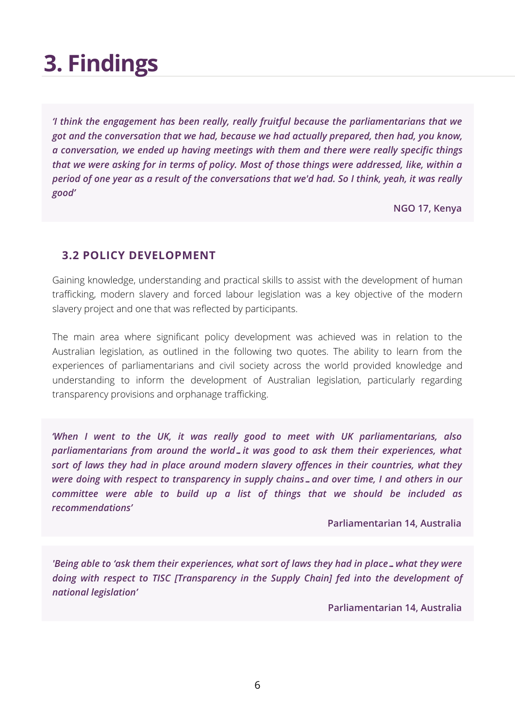*'I think the engagement has been really, really fruitful because the parliamentarians that we got and the conversation that we had, because we had actually prepared, then had, you know, a conversation, we ended up having meetings with them and there were really specific things that we were asking for in terms of policy. Most of those things were addressed, like, within a* period of one year as a result of the conversations that we'd had. So I think, yeah, it was really *good'*

**NGO 17, Kenya**

#### **3.2 POLICY DEVELOPMENT**

Gaining knowledge, understanding and practical skills to assist with the development of human trafficking, modern slavery and forced labour legislation was a key objective of the modern slavery project and one that was reflected by participants.

The main area where significant policy development was achieved was in relation to the Australian legislation, as outlined in the following two quotes. The ability to learn from the experiences of parliamentarians and civil society across the world provided knowledge and understanding to inform the development of Australian legislation, particularly regarding transparency provisions and orphanage trafficking.

*'When I went to the UK, it was really good to meet with UK parliamentarians, also parliamentarians from around the world…it was good to ask them their experiences, what sort of laws they had in place around modern slavery offences in their countries, what they were doing with respect to transparency in supply chains…and over time, I and others in our committee were able to build up a list of things that we should be included as recommendations'*

**Parliamentarian 14, Australia**

*'Being able to 'ask them their experiences, what sort of laws they had in place…what they were doing with respect to TISC [Transparency in the Supply Chain] fed into the development of national legislation'*

**Parliamentarian 14, Australia**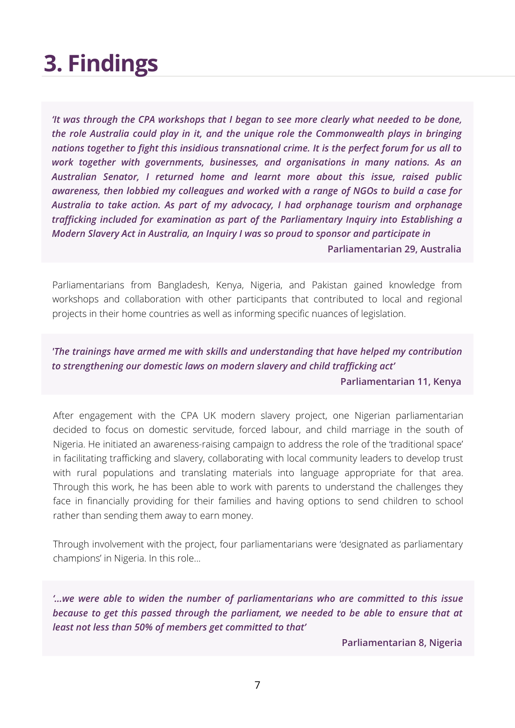*'It was through the CPA workshops that I began to see more clearly what needed to be done, the role Australia could play in it, and the unique role the Commonwealth plays in bringing nations together to fight this insidious transnational crime. It is the perfect forum for us all to work together with governments, businesses, and organisations in many nations. As an Australian Senator, I returned home and learnt more about this issue, raised public awareness, then lobbied my colleagues and worked with a range of NGOs to build a case for Australia to take action. As part of my advocacy, I had orphanage tourism and orphanage trafficking included for examination as part of the Parliamentary Inquiry into Establishing a Modern Slavery Act in Australia, an Inquiry I was so proud to sponsor and participate in*

**Parliamentarian 29, Australia**

Parliamentarians from Bangladesh, Kenya, Nigeria, and Pakistan gained knowledge from workshops and collaboration with other participants that contributed to local and regional projects in their home countries as well as informing specific nuances of legislation.

### *'The trainings have armed me with skills and understanding that have helped my contribution to strengthening our domestic laws on modern slavery and child trafficking act'*

**Parliamentarian 11, Kenya**

After engagement with the CPA UK modern slavery project, one Nigerian parliamentarian decided to focus on domestic servitude, forced labour, and child marriage in the south of Nigeria. He initiated an awareness-raising campaign to address the role of the 'traditional space' in facilitating trafficking and slavery, collaborating with local community leaders to develop trust with rural populations and translating materials into language appropriate for that area. Through this work, he has been able to work with parents to understand the challenges they face in financially providing for their families and having options to send children to school rather than sending them away to earn money.

Through involvement with the project, four parliamentarians were 'designated as parliamentary champions' in Nigeria. In this role...

*'...we were able to widen the number of parliamentarians who are committed to this issue because to get this passed through the parliament, we needed to be able to ensure that at least not less than 50% of members get committed to that'*

**Parliamentarian 8, Nigeria**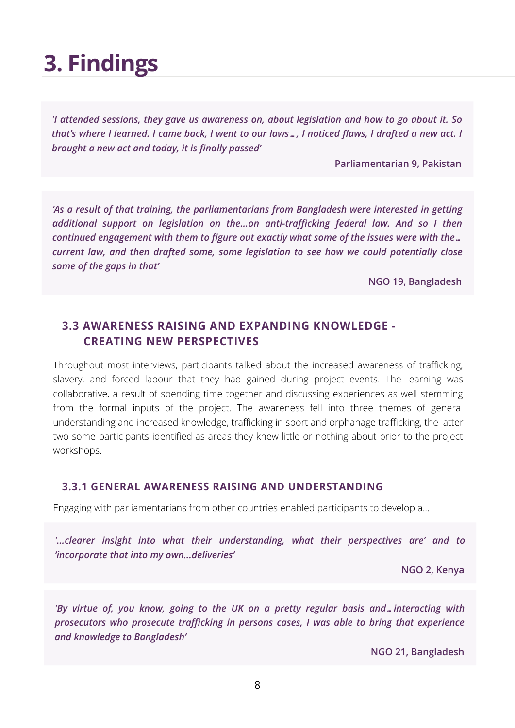*'I attended sessions, they gave us awareness on, about legislation and how to go about it. So* that's where I learned. I came back, I went to our laws..., I noticed flaws, I drafted a new act. I *brought a new act and today, it is finally passed'*

**Parliamentarian 9, Pakistan**

*'As a result of that training, the parliamentarians from Bangladesh were interested in getting additional support on legislation on the...on anti-trafficking federal law. And so I then continued engagement with them to figure out exactly what some of the issues were with the… current law, and then drafted some, some legislation to see how we could potentially close some of the gaps in that'*

**NGO 19, Bangladesh**

### **3.3 AWARENESS RAISING AND EXPANDING KNOWLEDGE - CREATING NEW PERSPECTIVES**

Throughout most interviews, participants talked about the increased awareness of trafficking, slavery, and forced labour that they had gained during project events. The learning was collaborative, a result of spending time together and discussing experiences as well stemming from the formal inputs of the project. The awareness fell into three themes of general understanding and increased knowledge, trafficking in sport and orphanage trafficking, the latter two some participants identified as areas they knew little or nothing about prior to the project workshops.

#### **3.3.1 GENERAL AWARENESS RAISING AND UNDERSTANDING**

Engaging with parliamentarians from other countries enabled participants to develop a...

*'...clearer insight into what their understanding, what their perspectives are' and to 'incorporate that into my own...deliveries'*

**NGO 2, Kenya**

*'By virtue of, you know, going to the UK on a pretty regular basis and…interacting with prosecutors who prosecute trafficking in persons cases, I was able to bring that experience and knowledge to Bangladesh'*

**NGO 21, Bangladesh**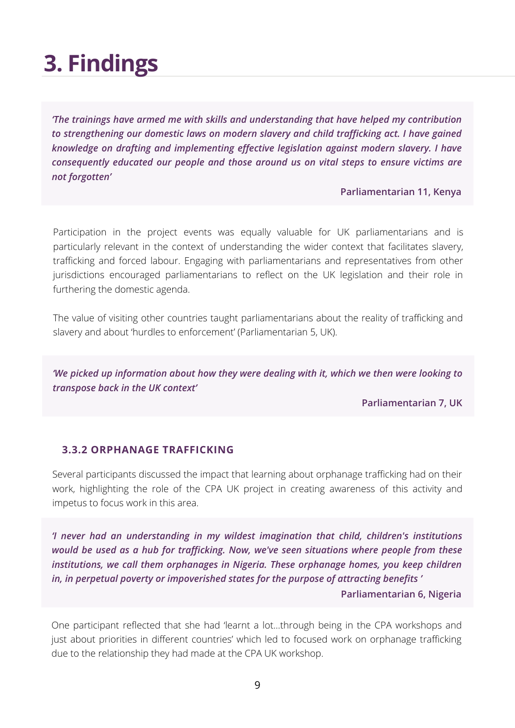*'The trainings have armed me with skills and understanding that have helped my contribution to strengthening our domestic laws on modern slavery and child trafficking act. I have gained knowledge on drafting and implementing effective legislation against modern slavery. I have consequently educated our people and those around us on vital steps to ensure victims are not forgotten'*

**Parliamentarian 11, Kenya**

Participation in the project events was equally valuable for UK parliamentarians and is particularly relevant in the context of understanding the wider context that facilitates slavery, trafficking and forced labour. Engaging with parliamentarians and representatives from other jurisdictions encouraged parliamentarians to reflect on the UK legislation and their role in furthering the domestic agenda.

The value of visiting other countries taught parliamentarians about the reality of trafficking and slavery and about 'hurdles to enforcement' (Parliamentarian 5, UK).

*'We picked up information about how they were dealing with it, which we then were looking to transpose back in the UK context'*

**Parliamentarian 7, UK**

#### **3.3.2 ORPHANAGE TRAFFICKING**

Several participants discussed the impact that learning about orphanage trafficking had on their work, highlighting the role of the CPA UK project in creating awareness of this activity and impetus to focus work in this area.

*'I never had an understanding in my wildest imagination that child, children's institutions would be used as a hub for trafficking. Now, we've seen situations where people from these institutions, we call them orphanages in Nigeria. These orphanage homes, you keep children in, in perpetual poverty or impoverished states for the purpose of attracting benefits '*

**Parliamentarian 6, Nigeria**

One participant reflected that she had 'learnt a lot…through being in the CPA workshops and just about priorities in different countries' which led to focused work on orphanage trafficking due to the relationship they had made at the CPA UK workshop.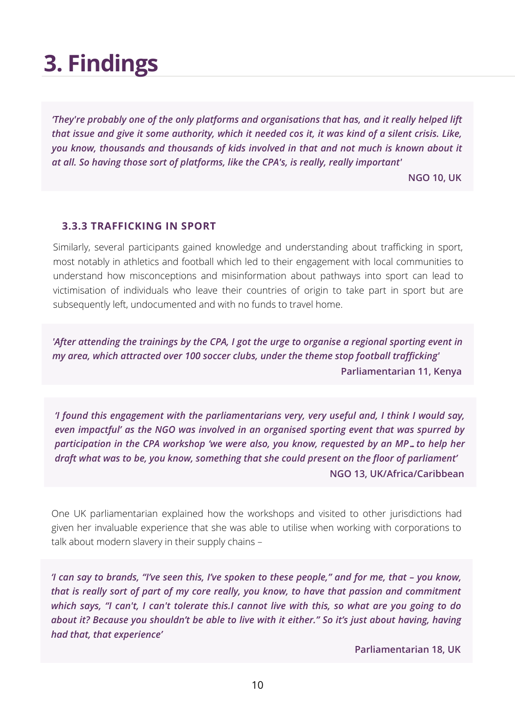*'They're probably one of the only platforms and organisations that has, and it really helped lift* that issue and give it some authority, which it needed cos it, it was kind of a silent crisis. Like, *you know, thousands and thousands of kids involved in that and not much is known about it at all. So having those sort of platforms, like the CPA's, is really, really important'*

**NGO 10, UK**

#### **3.3.3 TRAFFICKING IN SPORT**

Similarly, several participants gained knowledge and understanding about trafficking in sport, most notably in athletics and football which led to their engagement with local communities to understand how misconceptions and misinformation about pathways into sport can lead to victimisation of individuals who leave their countries of origin to take part in sport but are subsequently left, undocumented and with no funds to travel home.

*'After attending the trainings by the CPA, I got the urge to organise a regional sporting event in my area, which attracted over 100 soccer clubs, under the theme stop football trafficking'* **Parliamentarian 11, Kenya**

*'I found this engagement with the parliamentarians very, very useful and, I think I would say, even impactful' as the NGO was involved in an organised sporting event that was spurred by participation in the CPA workshop 'we were also, you know, requested by an MP…to help her draft what was to be, you know, something that she could present on the floor of parliament'* **NGO 13, UK/Africa/Caribbean**

One UK parliamentarian explained how the workshops and visited to other jurisdictions had given her invaluable experience that she was able to utilise when working with corporations to talk about modern slavery in their supply chains –

'I can say to brands, "I've seen this, I've spoken to these people," and for me, that - you know, *that is really sort of part of my core really, you know, to have that passion and commitment* which says, "I can't, I can't tolerate this.I cannot live with this, so what are you going to do *about it? Because you shouldn't be able to live with it either." So it's just about having, having had that, that experience'*

**Parliamentarian 18, UK**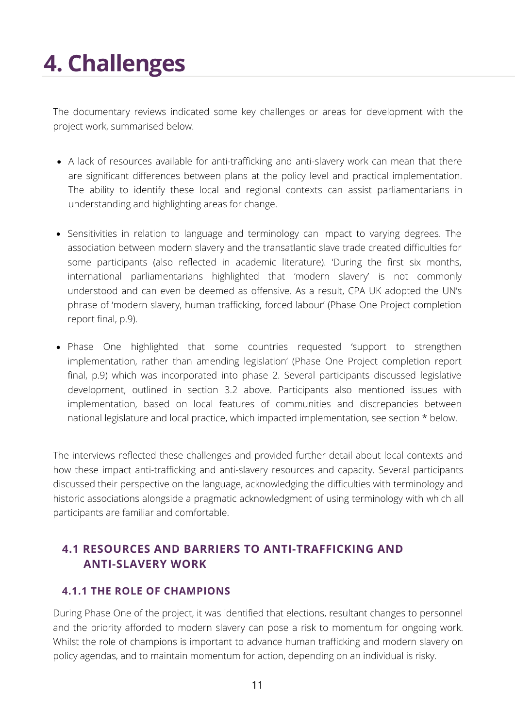The documentary reviews indicated some key challenges or areas for development with the project work, summarised below.

- A lack of resources available for anti-trafficking and anti-slavery work can mean that there are significant differences between plans at the policy level and practical implementation. The ability to identify these local and regional contexts can assist [parliamentarians](https://www.uk-cpa.org/what-we-do/modern-slavery/e-handbook-legislating-against-modern-slavery-human-trafficking-forced-labour) in understanding and highlighting areas for change.
- Sensitivities in relation to language and terminology can impact to varying degrees. The association between modern slavery and the transatlantic slave trade created difficulties for some participants (also reflected in academic literature). 'During the first six months, international [parliamentarians](https://www.uk-cpa.org/what-we-do/modern-slavery/e-handbook-legislating-against-modern-slavery-human-trafficking-forced-labour) highlighted that 'modern slavery' is not commonly understood and can even be deemed as offensive. As a result, CPA UK adopted the UN's phrase of 'modern slavery, human trafficking, forced labour' (Phase One Project completion report final, p.9).
- Phase One highlighted that some countries requested 'support to strengthen [implementation,](https://www.uk-cpa.org/what-we-do/modern-slavery/e-handbook-legislating-against-modern-slavery-human-trafficking-forced-labour) rather than amending legislation' (Phase One Project completion report final, p.9) which was incorporated into phase 2. Several participants discussed legislative development, outlined in section 3.2 above. Participants also mentioned issues with implementation, based on local features of communities and discrepancies between national legislature and local practice, which impacted implementation, see section \* below.

The interviews reflected these challenges and provided further detail about local contexts and how these impact anti-trafficking and anti-slavery resources and capacity. Several participants discussed their perspective on the language, acknowledging the difficulties with terminology and historic associations alongside a pragmatic acknowledgment of using terminology with which all participants are familiar and comfortable.

### **4.1 RESOURCES AND BARRIERS TO ANTI-TRAFFICKING AND ANTI-SLAVERY WORK**

#### **4.1.1 THE ROLE OF CHAMPIONS**

During Phase One of the project, it was identified that elections, resultant changes to personnel and the priority afforded to modern slavery can pose a risk to momentum for ongoing work. Whilst the role of champions is important to advance human trafficking and modern slavery on policy agendas, and to maintain momentum for action, depending on an individual is risky.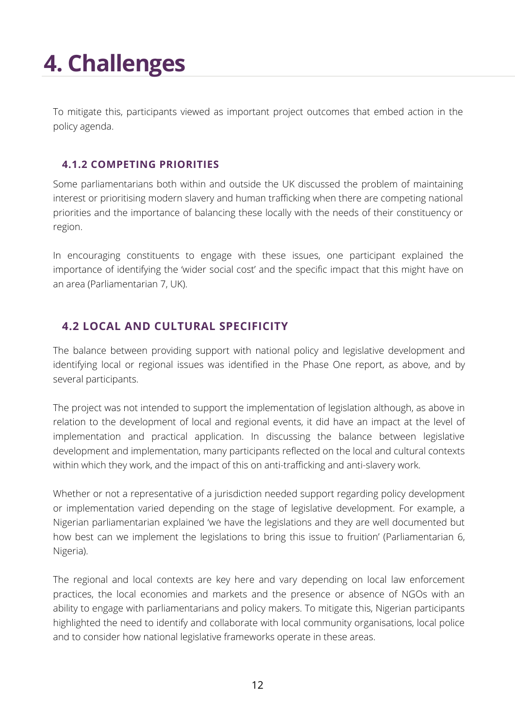To mitigate this, participants viewed as important project outcomes that embed action in the policy agenda.

#### **4.1.2 COMPETING PRIORITIES**

Some parliamentarians both within and outside the UK discussed the problem of maintaining interest or prioritising modern slavery and human trafficking when there are competing national priorities and the importance of balancing these locally with the needs of their constituency or region.

In encouraging constituents to engage with these issues, one participant explained the importance of identifying the 'wider social cost' and the specific impact that this might have on an area (Parliamentarian 7, UK).

### **4.2 LOCAL AND CULTURAL SPECIFICITY**

The balance between providing support with national policy and legislative development and identifying local or regional issues was identified in the Phase One report, as above, and by several participants.

The project was not intended to support the implementation of legislation although, as above in relation to the development of local and regional events, it did have an impact at the level of implementation and practical application. In discussing the balance between legislative development and implementation, many participants reflected on the local and cultural contexts within which they work, and the impact of this on anti-trafficking and anti-slavery work.

Whether or not a representative of a jurisdiction needed support regarding policy development or implementation varied depending on the stage of legislative development. For example, a Nigerian parliamentarian explained 'we have the legislations and they are well documented but how best can we implement the legislations to bring this issue to fruition' (Parliamentarian 6, Nigeria).

The regional and local contexts are key here and vary depending on local law enforcement practices, the local economies and markets and the presence or absence of NGOs with an ability to engage with parliamentarians and policy makers. To mitigate this, Nigerian participants highlighted the need to identify and collaborate with local community organisations, local police and to consider how national legislative frameworks operate in these areas.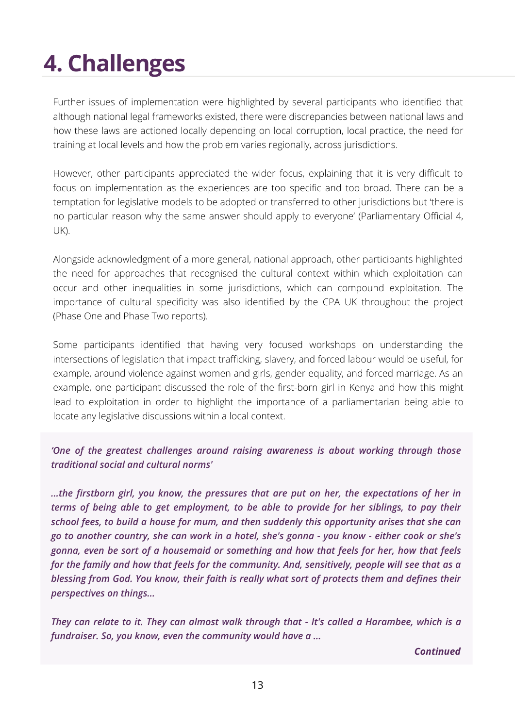Further issues of implementation were highlighted by several participants who identified that although national legal frameworks existed, there were discrepancies between national laws and how these laws are actioned locally depending on local corruption, local practice, the need for training at local levels and how the problem varies regionally, across jurisdictions.

However, other participants appreciated the wider focus, explaining that it is very difficult to focus on implementation as the experiences are too specific and too broad. There can be a temptation for legislative models to be adopted or transferred to other jurisdictions but 'there is no particular reason why the same answer should apply to everyone' (Parliamentary Official 4, UK).

Alongside acknowledgment of a more general, national approach, other participants highlighted the need for approaches that recognised the cultural context within which exploitation can occur and other inequalities in some jurisdictions, which can compound exploitation. The importance of cultural specificity was also identified by the CPA UK throughout the project (Phase One and Phase Two reports).

Some participants identified that having very focused workshops on understanding the intersections of legislation that impact trafficking, slavery, and forced labour would be useful, for example, around violence against women and girls, gender equality, and forced marriage. As an example, one participant discussed the role of the first-born girl in Kenya and how this might lead to exploitation in order to highlight the importance of a parliamentarian being able to locate any legislative discussions within a local context.

*'One of the greatest challenges around raising awareness is about working through those traditional social and cultural norms'*

*...the firstborn girl, you know, the pressures that are put on her, the expectations of her in terms of being able to get employment, to be able to provide for her siblings, to pay their school fees, to build a house for mum, and then suddenly this opportunity arises that she can* go to another country, she can work in a hotel, she's gonna - you know - either cook or she's *gonna, even be sort of a housemaid or something and how that feels for her, how that feels for the family and how that feels for the community. And, sensitively, people will see that as a blessing from God. You know, their faith is really what sort of protects them and defines their perspectives on things...*

They can relate to it. They can almost walk through that - It's called a Harambee, which is a *fundraiser. So, you know, even the community would have a ...*

#### *Continued*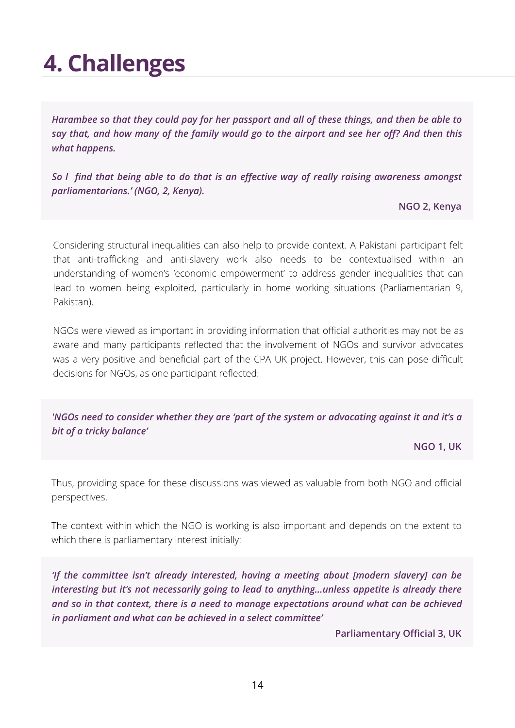Harambee so that they could pay for her passport and all of these things, and then be able to say that, and how many of the family would go to the airport and see her off? And then this *what happens.*

*So I find that being able to do that is an effective way of really raising awareness amongst parliamentarians.' (NGO, 2, Kenya).*

**NGO 2, Kenya**

Considering structural inequalities can also help to provide context. A Pakistani participant felt that anti-trafficking and anti-slavery work also needs to be contextualised within an understanding of women's 'economic empowerment' to address gender inequalities that can lead to women being exploited, particularly in home working situations (Parliamentarian 9, Pakistan).

NGOs were viewed as important in providing information that official authorities may not be as aware and many participants reflected that the involvement of NGOs and survivor advocates was a very positive and beneficial part of the CPA UK project. However, this can pose difficult decisions for NGOs, as one participant reflected:

*'NGOs need to consider whether they are 'part of the system or advocating against it and it's a bit of a tricky balance'*

**NGO 1, UK**

Thus, providing space for these discussions was viewed as valuable from both NGO and official perspectives.

The context within which the NGO is working is also important and depends on the extent to which there is parliamentary interest initially:

*'If the committee isn't already interested, having a meeting about [modern slavery] can be interesting but it's not necessarily going to lead to anything...unless appetite is already there and so in that context, there is a need to manage expectations around what can be achieved in parliament and what can be achieved in a select committee'*

**Parliamentary Official 3, UK**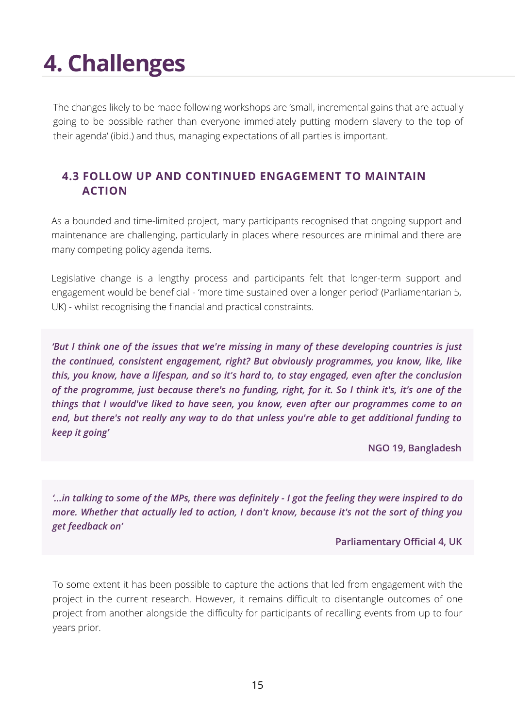The changes likely to be made following workshops are 'small, incremental gains that are actually going to be possible rather than everyone immediately putting modern slavery to the top of their agenda' (ibid.) and thus, managing expectations of all parties is important.

### **4.3 FOLLOW UP AND CONTINUED ENGAGEMENT TO MAINTAIN ACTION**

As a bounded and time-limited project, many participants recognised that ongoing support and maintenance are challenging, particularly in places where resources are minimal and there are many competing policy agenda items.

Legislative change is a lengthy process and participants felt that longer-term support and engagement would be beneficial - 'more time sustained over a longer period' (Parliamentarian 5, UK) - whilst recognising the financial and practical constraints.

*'But I think one of the issues that we're missing in many of these developing countries is just the continued, consistent engagement, right? But obviously programmes, you know, like, like this, you know, have a lifespan, and so it's hard to, to stay engaged, even after the conclusion* of the programme, just because there's no funding, right, for it. So I think it's, it's one of the *things that I would've liked to have seen, you know, even after our programmes come to an end, but there's not really any way to do that unless you're able to get additional funding to keep it going'*

**NGO 19, Bangladesh**

"... in talking to some of the MPs, there was definitely - I got the feeling they were inspired to do." *more. Whether that actually led to action, I don't know, because it's not the sort of thing you get feedback on'*

**Parliamentary Official 4, UK**

To some extent it has been possible to capture the actions that led from engagement with the project in the current research. However, it remains difficult to disentangle outcomes of one project from another alongside the difficulty for participants of recalling events from up to four years prior.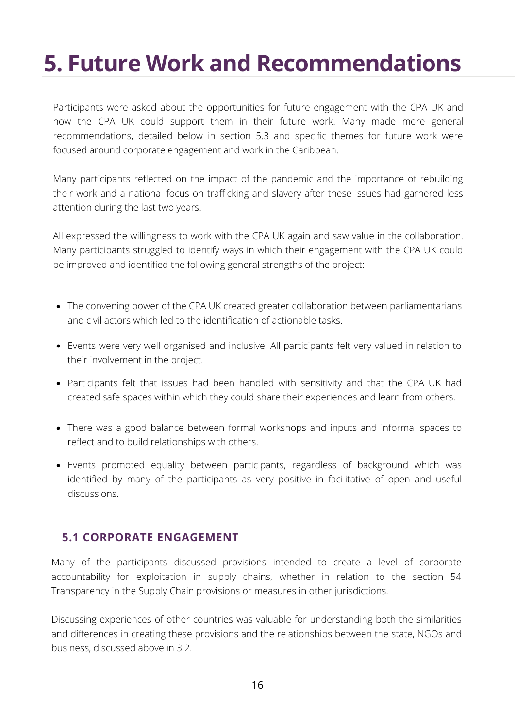## **5. Future Work and Recommendations**

Participants were asked about the opportunities for future engagement with the CPA UK and how the CPA UK could support them in their future work. Many made more general recommendations, detailed below in section 5.3 and specific themes for future work were focused around corporate engagement and work in the Caribbean.

Many participants reflected on the impact of the pandemic and the importance of rebuilding their work and a national focus on trafficking and slavery after these issues had garnered less attention during the last two years.

All expressed the willingness to work with the CPA UK again and saw value in the collaboration. Many participants struggled to identify ways in which their engagement with the CPA UK could be improved and identified the following general strengths of the project:

- The convening power of the CPA UK created greater collaboration between [parliamentarians](https://www.uk-cpa.org/what-we-do/modern-slavery/e-handbook-legislating-against-modern-slavery-human-trafficking-forced-labour) and civil actors which led to the identification of actionable tasks.
- Events were very well organised and inclusive. All participants felt very valued in relation to their [involvement](https://www.uk-cpa.org/what-we-do/modern-slavery/e-handbook-legislating-against-modern-slavery-human-trafficking-forced-labour) in the project.
- Participants felt that issues had been handled with sensitivity and that the CPA UK had created safe spaces within which they could share their [experiences](https://www.uk-cpa.org/what-we-do/modern-slavery/e-handbook-legislating-against-modern-slavery-human-trafficking-forced-labour) and learn from others.
- There was a good balance between formal workshops and inputs and informal spaces to reflect and to build [relationships](https://www.uk-cpa.org/what-we-do/modern-slavery/e-handbook-legislating-against-modern-slavery-human-trafficking-forced-labour) with others.
- Events promoted equality between [participants,](https://www.uk-cpa.org/what-we-do/modern-slavery/e-handbook-legislating-against-modern-slavery-human-trafficking-forced-labour) regardless of background which was identified by many of the participants as very positive in facilitative of open and useful discussions.

### **5.1 CORPORATE ENGAGEMENT**

Many of the participants discussed provisions intended to create a level of corporate accountability for exploitation in supply chains, whether in relation to the section 54 Transparency in the Supply Chain provisions or measures in other jurisdictions.

Discussing experiences of other countries was valuable for understanding both the similarities and differences in creating these provisions and the relationships between the state, NGOs and business, discussed above in 3.2.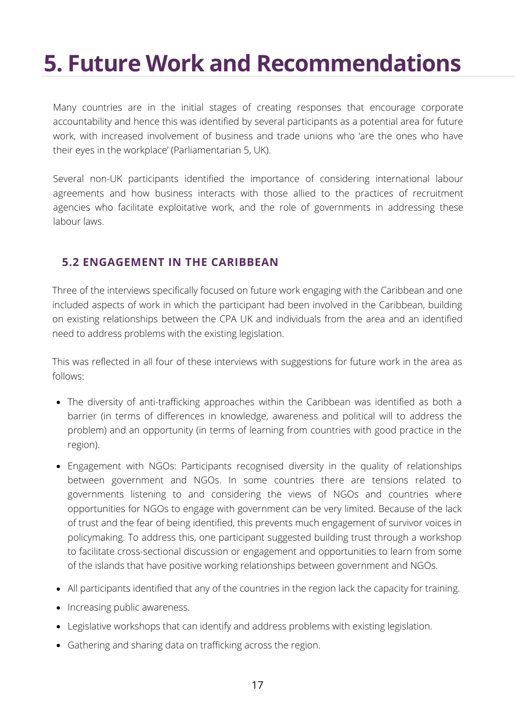## **5. Future Work and Recommendations**

Many countries are in the initial stages of creating responses that encourage corporate accountability and hence this was identified by several participants as a potential area for future work, with increased involvement of business and trade unions who 'are the ones who have their eyes in the workplace' (Parliamentarian 5, UK).

Several non-UK participants identified the importance of considering international labour agreements and how business interacts with those allied to the practices of recruitment agencies who facilitate exploitative work, and the role of governments in addressing these labour laws.

### **5.2 ENGAGEMENT IN THE CARIBBEAN**

Three of the interviews specifically focused on future work engaging with the Caribbean and one included aspects of work in which the participant had been involved in the Caribbean, building on existing relationships between the CPA UK and individuals from the area and an identified need to address problems with the existing legislation.

This was reflected in all four of these interviews with suggestions for future work in the area as follows:

- The diversity of [anti-trafficking](https://www.uk-cpa.org/what-we-do/modern-slavery/e-handbook-legislating-against-modern-slavery-human-trafficking-forced-labour) approaches within the Caribbean was identified as both a barrier (in terms of differences in knowledge, awareness and political will to address the problem) and an opportunity (in terms of learning from countries with good practice in the region)[.](https://www.uk-cpa.org/what-we-do/modern-slavery/e-handbook-legislating-against-modern-slavery-human-trafficking-forced-labour)
- Engagement with NGOs: Participants recognised diversity in the quality of relationships between government and NGOs. In some countries there are tensions related to governments listening to and considering the views of NGOs and countries where opportunities for NGOs to engage with government can be very limited. Because of the lack of trust and the fear of being identified, this prevents much engagement of survivor voices in policymaking. To address this, one participant suggested building trust through a workshop to facilitate [cross-sectional](https://www.uk-cpa.org/what-we-do/modern-slavery/e-handbook-legislating-against-modern-slavery-human-trafficking-forced-labour) discussion or engagement and opportunities to learn from some of the islands that have positive working relationships between government and NGOs.
- All [participants](https://www.uk-cpa.org/what-we-do/modern-slavery/e-handbook-legislating-against-modern-slavery-human-trafficking-forced-labour) identified that any of the countries in the region lack the capacity for training.
- Increasing public [awareness.](https://www.uk-cpa.org/what-we-do/modern-slavery/e-handbook-legislating-against-modern-slavery-human-trafficking-forced-labour)
- Legislative [workshops](https://www.uk-cpa.org/what-we-do/modern-slavery/e-handbook-legislating-against-modern-slavery-human-trafficking-forced-labour) that can identify and address problems with existing legislation.
- [Gathering](https://www.uk-cpa.org/what-we-do/modern-slavery/e-handbook-legislating-against-modern-slavery-human-trafficking-forced-labour) and sharing data on trafficking across the region.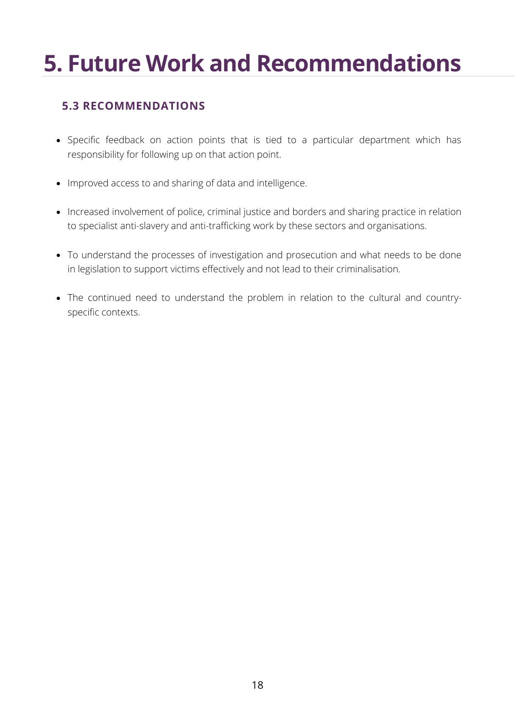## **5. Future Work and Recommendations**

### **5.3 RECOMMENDATIONS**

- Specific feedback on action points that is tied to a particular department which has [responsibility](https://www.uk-cpa.org/what-we-do/modern-slavery/e-handbook-legislating-against-modern-slavery-human-trafficking-forced-labour) for following up on that action point.
- Improved access to and sharing of data and [intelligence.](https://www.uk-cpa.org/what-we-do/modern-slavery/e-handbook-legislating-against-modern-slavery-human-trafficking-forced-labour)
- Increased involvement of police, criminal justice and borders and sharing practice in relation to specialist anti-slavery and [anti-trafficking](https://www.uk-cpa.org/what-we-do/modern-slavery/e-handbook-legislating-against-modern-slavery-human-trafficking-forced-labour) work by these sectors and organisations.
- To understand the processes of investigation and prosecution and what needs to be done in legislation to support victims effectively and not lead to their [criminalisation.](https://www.uk-cpa.org/what-we-do/modern-slavery/e-handbook-legislating-against-modern-slavery-human-trafficking-forced-labour)
- The continued need to [understand](https://www.uk-cpa.org/what-we-do/modern-slavery/e-handbook-legislating-against-modern-slavery-human-trafficking-forced-labour) the problem in relation to the cultural and countryspecific contexts.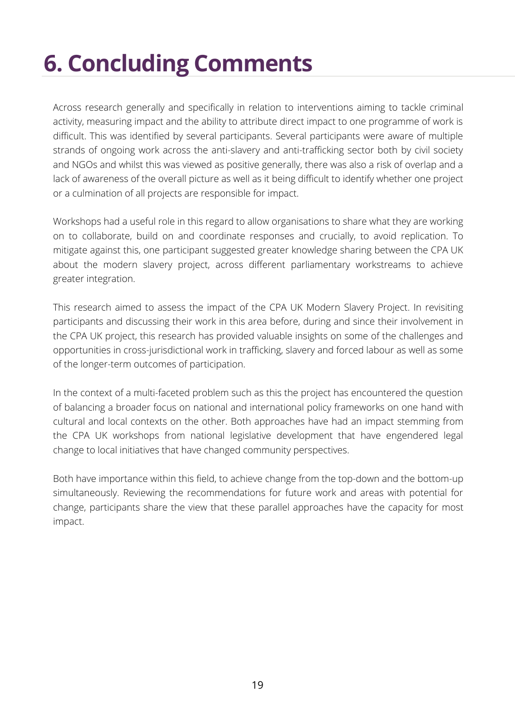# **6. Concluding Comments**

Across research generally and specifically in relation to interventions aiming to tackle criminal activity, measuring impact and the ability to attribute direct impact to one programme of work is difficult. This was identified by several participants. Several participants were aware of multiple strands of ongoing work across the anti-slavery and anti-trafficking sector both by civil society and NGOs and whilst this was viewed as positive generally, there was also a risk of overlap and a lack of awareness of the overall picture as well as it being difficult to identify whether one project or a culmination of all projects are responsible for impact.

Workshops had a useful role in this regard to allow organisations to share what they are working on to collaborate, build on and coordinate responses and crucially, to avoid replication. To mitigate against this, one participant suggested greater knowledge sharing between the CPA UK about the modern slavery project, across different parliamentary workstreams to achieve greater integration.

This research aimed to assess the impact of the CPA UK Modern Slavery Project. In revisiting participants and discussing their work in this area before, during and since their involvement in the CPA UK project, this research has provided valuable insights on some of the challenges and opportunities in cross-jurisdictional work in trafficking, slavery and forced labour as well as some of the longer-term outcomes of participation.

In the context of a multi-faceted problem such as this the project has encountered the question of balancing a broader focus on national and international policy frameworks on one hand with cultural and local contexts on the other. Both approaches have had an impact stemming from the CPA UK workshops from national legislative development that have engendered legal change to local initiatives that have changed community perspectives.

Both have importance within this field, to achieve change from the top-down and the bottom-up simultaneously. Reviewing the recommendations for future work and areas with potential for change, participants share the view that these parallel approaches have the capacity for most impact.